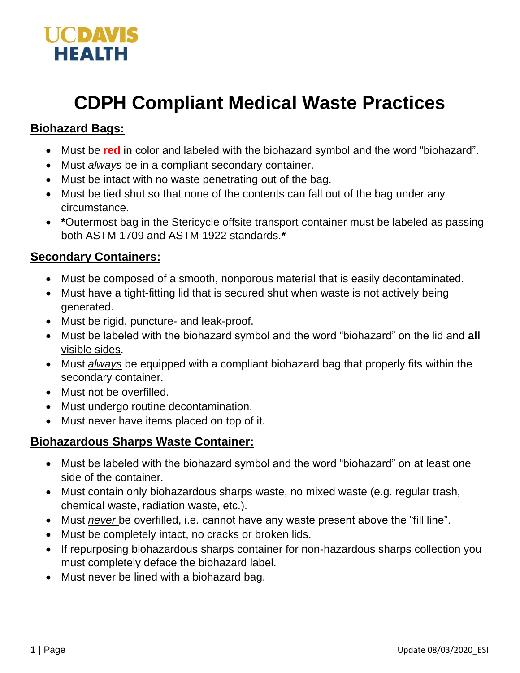

# **CDPH Compliant Medical Waste Practices**

### **Biohazard Bags:**

- Must be **red** in color and labeled with the biohazard symbol and the word "biohazard".
- Must *always* be in a compliant secondary container.
- Must be intact with no waste penetrating out of the bag.
- Must be tied shut so that none of the contents can fall out of the bag under any circumstance.
- **\***Outermost bag in the Stericycle offsite transport container must be labeled as passing both ASTM 1709 and ASTM 1922 standards.**\***

## **Secondary Containers:**

- Must be composed of a smooth, nonporous material that is easily decontaminated.
- Must have a tight-fitting lid that is secured shut when waste is not actively being generated.
- Must be rigid, puncture- and leak-proof.
- Must be labeled with the biohazard symbol and the word "biohazard" on the lid and **all**  visible sides.
- Must *always* be equipped with a compliant biohazard bag that properly fits within the secondary container.
- Must not be overfilled.
- Must undergo routine decontamination.
- Must never have items placed on top of it.

#### **Biohazardous Sharps Waste Container:**

- Must be labeled with the biohazard symbol and the word "biohazard" on at least one side of the container.
- Must contain only biohazardous sharps waste, no mixed waste (e.g. regular trash, chemical waste, radiation waste, etc.).
- Must *never* be overfilled, i.e. cannot have any waste present above the "fill line".
- Must be completely intact, no cracks or broken lids.
- If repurposing biohazardous sharps container for non-hazardous sharps collection you must completely deface the biohazard label.
- Must never be lined with a biohazard bag.